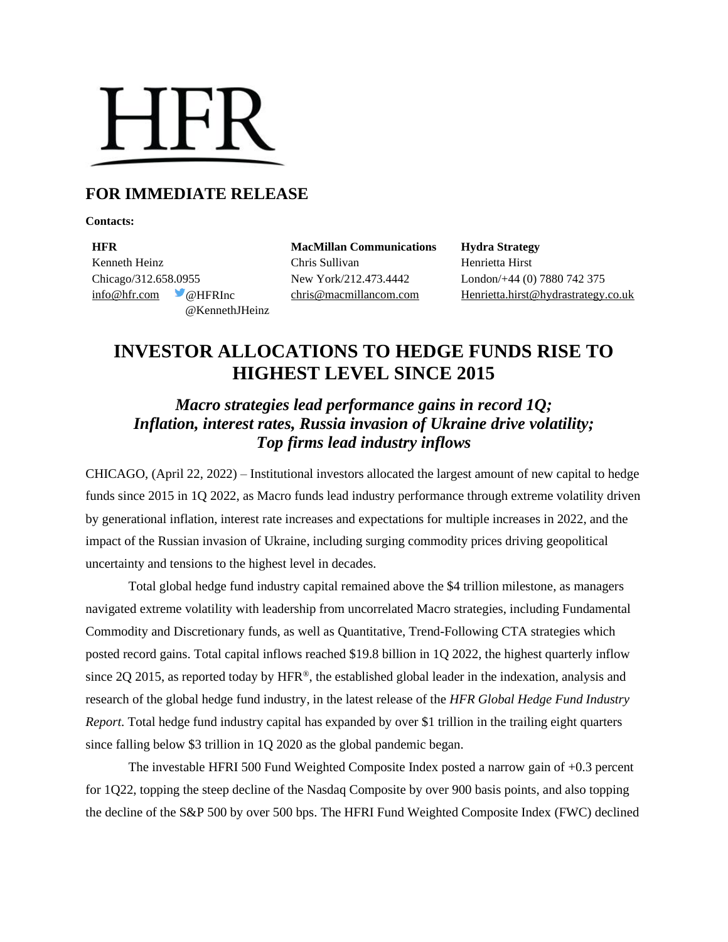# **HFR**

# **FOR IMMEDIATE RELEASE**

**Contacts:**

**HFR MacMillan Communications Hydra Strategy** Kenneth Heinz **Chris Sullivan** Chris Sullivan Henrietta Hirst Chicago/312.658.0955 New York/212.473.4442 London/+44 (0) 7880 742 375 @KennethJHeinz

[info@hfr.com](mailto:info@hfr.com) @HFRInc [chris@macmillancom.com](mailto:chris@macmillancom.com) [Henrietta.hirst@hydrastrategy.co.uk](mailto:Henrietta.hirst@hydrastrategy.co.uk) 

# **INVESTOR ALLOCATIONS TO HEDGE FUNDS RISE TO HIGHEST LEVEL SINCE 2015**

# *Macro strategies lead performance gains in record 1Q; Inflation, interest rates, Russia invasion of Ukraine drive volatility; Top firms lead industry inflows*

CHICAGO, (April 22, 2022) – Institutional investors allocated the largest amount of new capital to hedge funds since 2015 in 1Q 2022, as Macro funds lead industry performance through extreme volatility driven by generational inflation, interest rate increases and expectations for multiple increases in 2022, and the impact of the Russian invasion of Ukraine, including surging commodity prices driving geopolitical uncertainty and tensions to the highest level in decades.

Total global hedge fund industry capital remained above the \$4 trillion milestone, as managers navigated extreme volatility with leadership from uncorrelated Macro strategies, including Fundamental Commodity and Discretionary funds, as well as Quantitative, Trend-Following CTA strategies which posted record gains. Total capital inflows reached \$19.8 billion in 1Q 2022, the highest quarterly inflow since 2Q 2015, as reported today by HFR®, the established global leader in the indexation, analysis and research of the global hedge fund industry, in the latest release of the *HFR Global Hedge Fund Industry Report*. Total hedge fund industry capital has expanded by over \$1 trillion in the trailing eight quarters since falling below \$3 trillion in 1Q 2020 as the global pandemic began.

The investable HFRI 500 Fund Weighted Composite Index posted a narrow gain of +0.3 percent for 1Q22, topping the steep decline of the Nasdaq Composite by over 900 basis points, and also topping the decline of the S&P 500 by over 500 bps. The HFRI Fund Weighted Composite Index (FWC) declined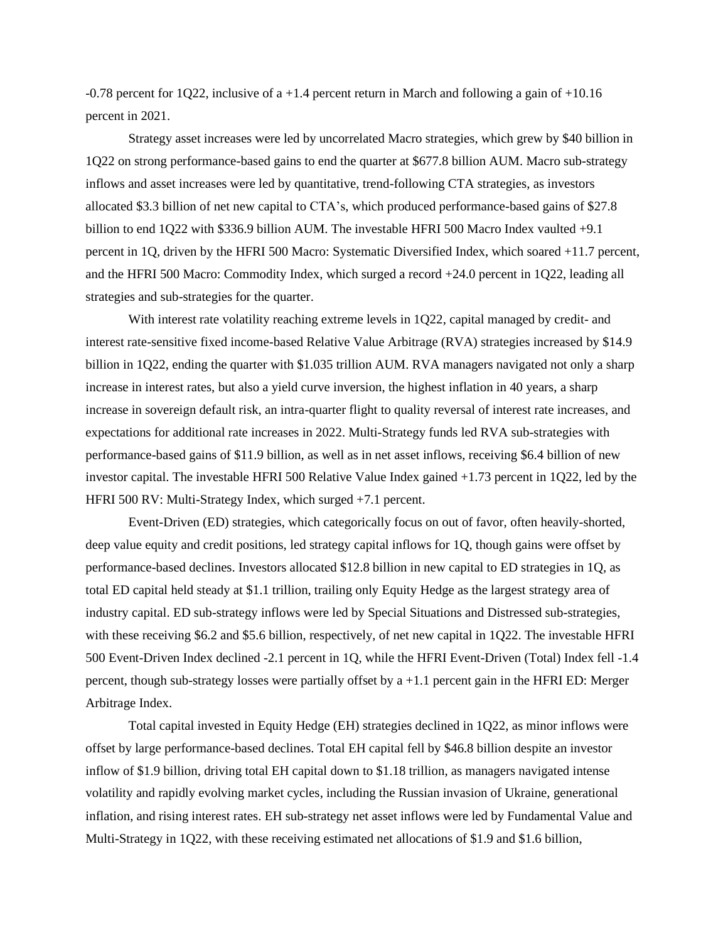-0.78 percent for 1Q22, inclusive of a +1.4 percent return in March and following a gain of +10.16 percent in 2021.

Strategy asset increases were led by uncorrelated Macro strategies, which grew by \$40 billion in 1Q22 on strong performance-based gains to end the quarter at \$677.8 billion AUM. Macro sub-strategy inflows and asset increases were led by quantitative, trend-following CTA strategies, as investors allocated \$3.3 billion of net new capital to CTA's, which produced performance-based gains of \$27.8 billion to end 1Q22 with \$336.9 billion AUM. The investable HFRI 500 Macro Index vaulted +9.1 percent in 1Q, driven by the HFRI 500 Macro: Systematic Diversified Index, which soared +11.7 percent, and the HFRI 500 Macro: Commodity Index, which surged a record +24.0 percent in 1Q22, leading all strategies and sub-strategies for the quarter.

With interest rate volatility reaching extreme levels in 1Q22, capital managed by credit- and interest rate-sensitive fixed income-based Relative Value Arbitrage (RVA) strategies increased by \$14.9 billion in 1Q22, ending the quarter with \$1.035 trillion AUM. RVA managers navigated not only a sharp increase in interest rates, but also a yield curve inversion, the highest inflation in 40 years, a sharp increase in sovereign default risk, an intra-quarter flight to quality reversal of interest rate increases, and expectations for additional rate increases in 2022. Multi-Strategy funds led RVA sub-strategies with performance-based gains of \$11.9 billion, as well as in net asset inflows, receiving \$6.4 billion of new investor capital. The investable HFRI 500 Relative Value Index gained +1.73 percent in 1Q22, led by the HFRI 500 RV: Multi-Strategy Index, which surged +7.1 percent.

Event-Driven (ED) strategies, which categorically focus on out of favor, often heavily-shorted, deep value equity and credit positions, led strategy capital inflows for 1Q, though gains were offset by performance-based declines. Investors allocated \$12.8 billion in new capital to ED strategies in 1Q, as total ED capital held steady at \$1.1 trillion, trailing only Equity Hedge as the largest strategy area of industry capital. ED sub-strategy inflows were led by Special Situations and Distressed sub-strategies, with these receiving \$6.2 and \$5.6 billion, respectively, of net new capital in 1Q22. The investable HFRI 500 Event-Driven Index declined -2.1 percent in 1Q, while the HFRI Event-Driven (Total) Index fell -1.4 percent, though sub-strategy losses were partially offset by a +1.1 percent gain in the HFRI ED: Merger Arbitrage Index.

Total capital invested in Equity Hedge (EH) strategies declined in 1Q22, as minor inflows were offset by large performance-based declines. Total EH capital fell by \$46.8 billion despite an investor inflow of \$1.9 billion, driving total EH capital down to \$1.18 trillion, as managers navigated intense volatility and rapidly evolving market cycles, including the Russian invasion of Ukraine, generational inflation, and rising interest rates. EH sub-strategy net asset inflows were led by Fundamental Value and Multi-Strategy in 1Q22, with these receiving estimated net allocations of \$1.9 and \$1.6 billion,